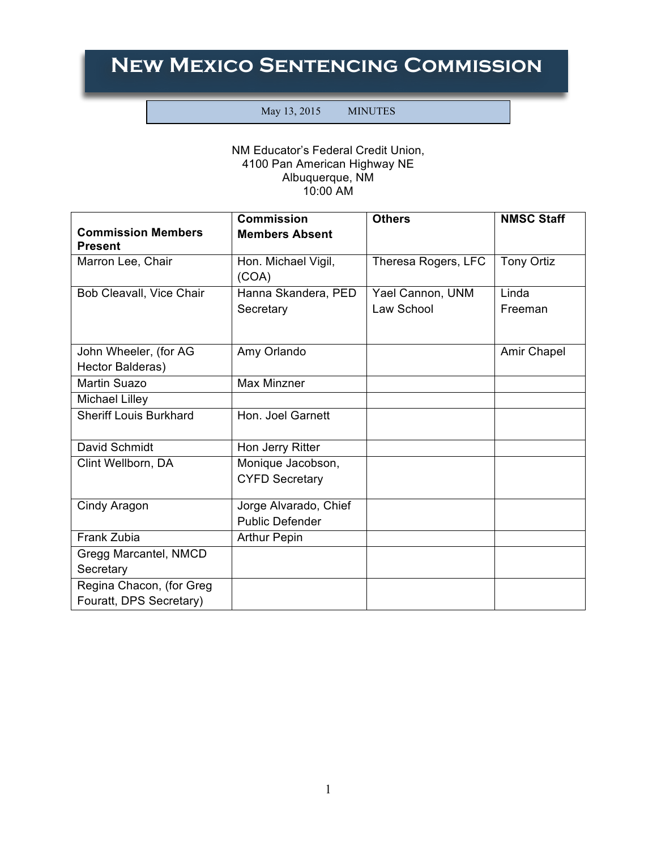## **New Mexico Sentencing Commission**

## May 13, 2015 MINUTES

## NM Educator's Federal Credit Union, 4100 Pan American Highway NE Albuquerque, NM 10:00 AM

|                                                     | <b>Commission</b>                               | <b>Others</b>                  | <b>NMSC Staff</b> |
|-----------------------------------------------------|-------------------------------------------------|--------------------------------|-------------------|
| <b>Commission Members</b><br><b>Present</b>         | <b>Members Absent</b>                           |                                |                   |
| Marron Lee, Chair                                   | Hon. Michael Vigil,<br>(COA)                    | Theresa Rogers, LFC            | Tony Ortiz        |
| Bob Cleavall, Vice Chair                            | Hanna Skandera, PED<br>Secretary                | Yael Cannon, UNM<br>Law School | Linda<br>Freeman  |
| John Wheeler, (for AG<br>Hector Balderas)           | Amy Orlando                                     |                                | Amir Chapel       |
| Martin Suazo                                        | <b>Max Minzner</b>                              |                                |                   |
| <b>Michael Lilley</b>                               |                                                 |                                |                   |
| <b>Sheriff Louis Burkhard</b>                       | Hon. Joel Garnett                               |                                |                   |
| David Schmidt                                       | Hon Jerry Ritter                                |                                |                   |
| Clint Wellborn, DA                                  | Monique Jacobson,<br><b>CYFD Secretary</b>      |                                |                   |
| Cindy Aragon                                        | Jorge Alvarado, Chief<br><b>Public Defender</b> |                                |                   |
| Frank Zubia                                         | <b>Arthur Pepin</b>                             |                                |                   |
| Gregg Marcantel, NMCD<br>Secretary                  |                                                 |                                |                   |
| Regina Chacon, (for Greg<br>Fouratt, DPS Secretary) |                                                 |                                |                   |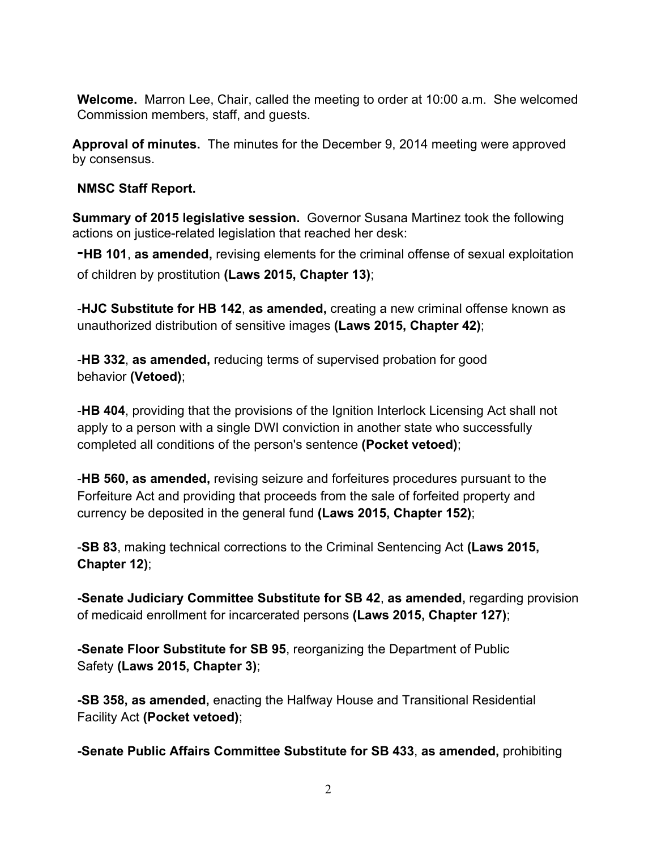**Welcome.** Marron Lee, Chair, called the meeting to order at 10:00 a.m. She welcomed Commission members, staff, and guests.

**Approval of minutes.** The minutes for the December 9, 2014 meeting were approved by consensus.

## **NMSC Staff Report.**

**Summary of 2015 legislative session.** Governor Susana Martinez took the following actions on justice-related legislation that reached her desk:

-**HB 101**, **as amended,** revising elements for the criminal offense of sexual exploitation of children by prostitution **(Laws 2015, Chapter 13)**;

-**HJC Substitute for HB 142**, **as amended,** creating a new criminal offense known as unauthorized distribution of sensitive images **(Laws 2015, Chapter 42)**;

-**HB 332**, **as amended,** reducing terms of supervised probation for good behavior **(Vetoed)**;

-**HB 404**, providing that the provisions of the Ignition Interlock Licensing Act shall not apply to a person with a single DWI conviction in another state who successfully completed all conditions of the person's sentence **(Pocket vetoed)**;

-**HB 560, as amended,** revising seizure and forfeitures procedures pursuant to the Forfeiture Act and providing that proceeds from the sale of forfeited property and currency be deposited in the general fund **(Laws 2015, Chapter 152)**;

-**SB 83**, making technical corrections to the Criminal Sentencing Act **(Laws 2015, Chapter 12)**;

**-Senate Judiciary Committee Substitute for SB 42**, **as amended,** regarding provision of medicaid enrollment for incarcerated persons **(Laws 2015, Chapter 127)**;

**-Senate Floor Substitute for SB 95**, reorganizing the Department of Public Safety **(Laws 2015, Chapter 3)**;

**-SB 358, as amended,** enacting the Halfway House and Transitional Residential Facility Act **(Pocket vetoed)**;

**-Senate Public Affairs Committee Substitute for SB 433**, **as amended,** prohibiting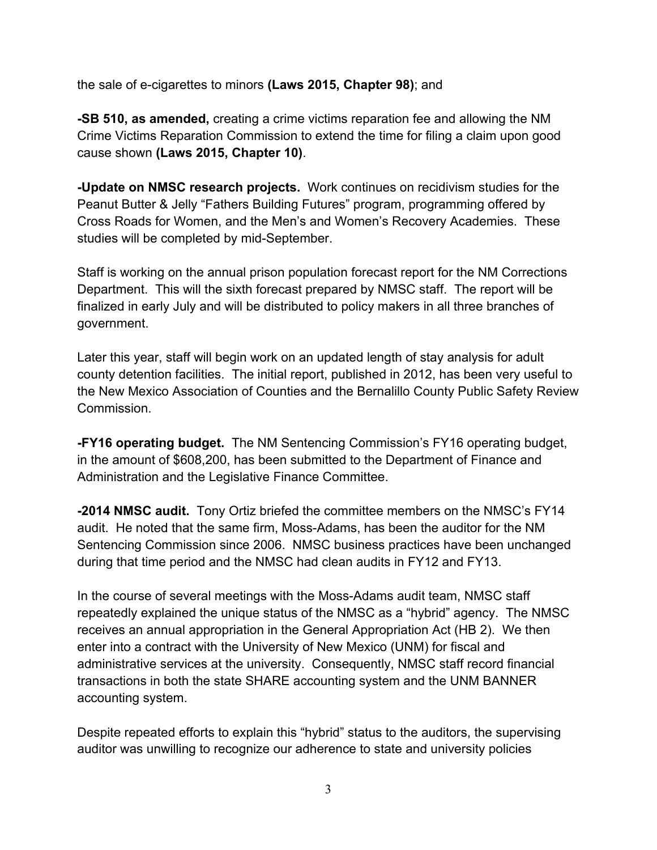the sale of e-cigarettes to minors **(Laws 2015, Chapter 98)**; and

**-SB 510, as amended,** creating a crime victims reparation fee and allowing the NM Crime Victims Reparation Commission to extend the time for filing a claim upon good cause shown **(Laws 2015, Chapter 10)**.

**-Update on NMSC research projects.** Work continues on recidivism studies for the Peanut Butter & Jelly "Fathers Building Futures" program, programming offered by Cross Roads for Women, and the Men's and Women's Recovery Academies. These studies will be completed by mid-September.

Staff is working on the annual prison population forecast report for the NM Corrections Department. This will the sixth forecast prepared by NMSC staff. The report will be finalized in early July and will be distributed to policy makers in all three branches of government.

Later this year, staff will begin work on an updated length of stay analysis for adult county detention facilities. The initial report, published in 2012, has been very useful to the New Mexico Association of Counties and the Bernalillo County Public Safety Review Commission.

**-FY16 operating budget.** The NM Sentencing Commission's FY16 operating budget, in the amount of \$608,200, has been submitted to the Department of Finance and Administration and the Legislative Finance Committee.

**-2014 NMSC audit.** Tony Ortiz briefed the committee members on the NMSC's FY14 audit. He noted that the same firm, Moss-Adams, has been the auditor for the NM Sentencing Commission since 2006. NMSC business practices have been unchanged during that time period and the NMSC had clean audits in FY12 and FY13.

In the course of several meetings with the Moss-Adams audit team, NMSC staff repeatedly explained the unique status of the NMSC as a "hybrid" agency. The NMSC receives an annual appropriation in the General Appropriation Act (HB 2). We then enter into a contract with the University of New Mexico (UNM) for fiscal and administrative services at the university. Consequently, NMSC staff record financial transactions in both the state SHARE accounting system and the UNM BANNER accounting system.

Despite repeated efforts to explain this "hybrid" status to the auditors, the supervising auditor was unwilling to recognize our adherence to state and university policies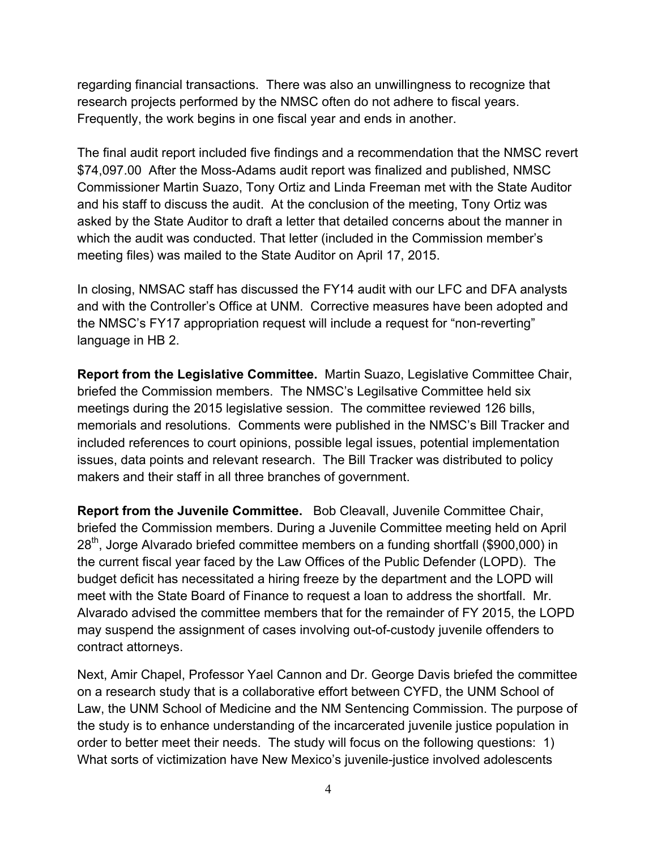regarding financial transactions. There was also an unwillingness to recognize that research projects performed by the NMSC often do not adhere to fiscal years. Frequently, the work begins in one fiscal year and ends in another.

The final audit report included five findings and a recommendation that the NMSC revert \$74,097.00 After the Moss-Adams audit report was finalized and published, NMSC Commissioner Martin Suazo, Tony Ortiz and Linda Freeman met with the State Auditor and his staff to discuss the audit. At the conclusion of the meeting, Tony Ortiz was asked by the State Auditor to draft a letter that detailed concerns about the manner in which the audit was conducted. That letter (included in the Commission member's meeting files) was mailed to the State Auditor on April 17, 2015.

In closing, NMSAC staff has discussed the FY14 audit with our LFC and DFA analysts and with the Controller's Office at UNM. Corrective measures have been adopted and the NMSC's FY17 appropriation request will include a request for "non-reverting" language in HB 2.

**Report from the Legislative Committee.** Martin Suazo, Legislative Committee Chair, briefed the Commission members. The NMSC's Legilsative Committee held six meetings during the 2015 legislative session. The committee reviewed 126 bills, memorials and resolutions. Comments were published in the NMSC's Bill Tracker and included references to court opinions, possible legal issues, potential implementation issues, data points and relevant research. The Bill Tracker was distributed to policy makers and their staff in all three branches of government.

**Report from the Juvenile Committee.** Bob Cleavall, Juvenile Committee Chair, briefed the Commission members. During a Juvenile Committee meeting held on April  $28<sup>th</sup>$ , Jorge Alvarado briefed committee members on a funding shortfall (\$900,000) in the current fiscal year faced by the Law Offices of the Public Defender (LOPD). The budget deficit has necessitated a hiring freeze by the department and the LOPD will meet with the State Board of Finance to request a loan to address the shortfall. Mr. Alvarado advised the committee members that for the remainder of FY 2015, the LOPD may suspend the assignment of cases involving out-of-custody juvenile offenders to contract attorneys.

Next, Amir Chapel, Professor Yael Cannon and Dr. George Davis briefed the committee on a research study that is a collaborative effort between CYFD, the UNM School of Law, the UNM School of Medicine and the NM Sentencing Commission. The purpose of the study is to enhance understanding of the incarcerated juvenile justice population in order to better meet their needs. The study will focus on the following questions: 1) What sorts of victimization have New Mexico's juvenile-justice involved adolescents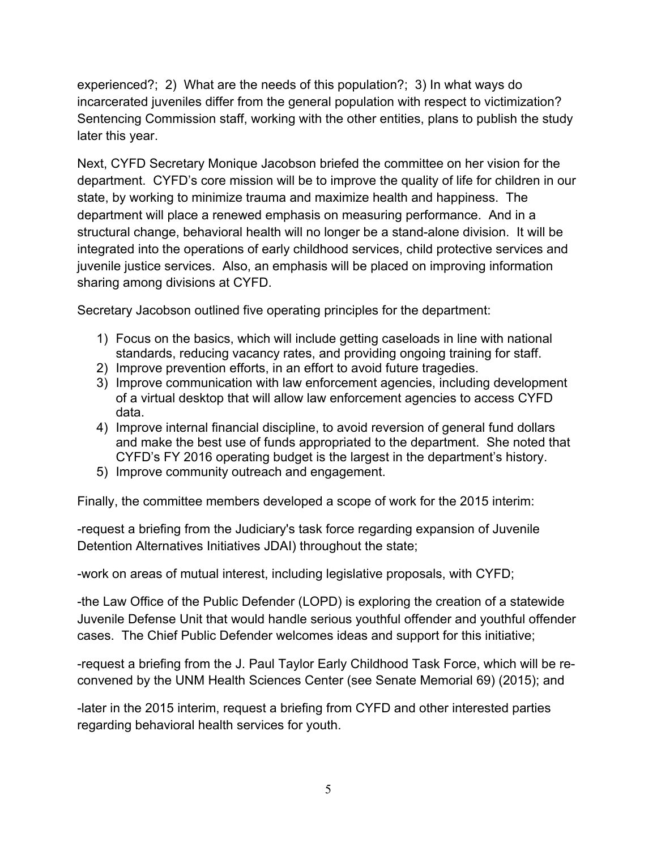experienced?; 2) What are the needs of this population?; 3) In what ways do incarcerated juveniles differ from the general population with respect to victimization? Sentencing Commission staff, working with the other entities, plans to publish the study later this year.

Next, CYFD Secretary Monique Jacobson briefed the committee on her vision for the department. CYFD's core mission will be to improve the quality of life for children in our state, by working to minimize trauma and maximize health and happiness. The department will place a renewed emphasis on measuring performance. And in a structural change, behavioral health will no longer be a stand-alone division. It will be integrated into the operations of early childhood services, child protective services and juvenile justice services. Also, an emphasis will be placed on improving information sharing among divisions at CYFD.

Secretary Jacobson outlined five operating principles for the department:

- 1) Focus on the basics, which will include getting caseloads in line with national standards, reducing vacancy rates, and providing ongoing training for staff.
- 2) Improve prevention efforts, in an effort to avoid future tragedies.
- 3) Improve communication with law enforcement agencies, including development of a virtual desktop that will allow law enforcement agencies to access CYFD data.
- 4) Improve internal financial discipline, to avoid reversion of general fund dollars and make the best use of funds appropriated to the department. She noted that CYFD's FY 2016 operating budget is the largest in the department's history.
- 5) Improve community outreach and engagement.

Finally, the committee members developed a scope of work for the 2015 interim:

-request a briefing from the Judiciary's task force regarding expansion of Juvenile Detention Alternatives Initiatives JDAI) throughout the state;

-work on areas of mutual interest, including legislative proposals, with CYFD;

-the Law Office of the Public Defender (LOPD) is exploring the creation of a statewide Juvenile Defense Unit that would handle serious youthful offender and youthful offender cases. The Chief Public Defender welcomes ideas and support for this initiative;

-request a briefing from the J. Paul Taylor Early Childhood Task Force, which will be reconvened by the UNM Health Sciences Center (see Senate Memorial 69) (2015); and

-later in the 2015 interim, request a briefing from CYFD and other interested parties regarding behavioral health services for youth.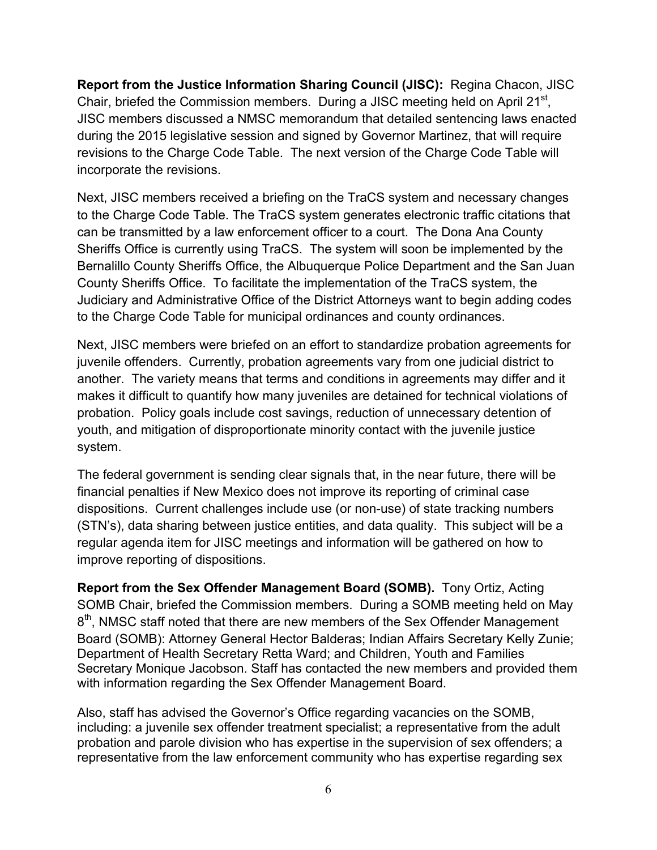**Report from the Justice Information Sharing Council (JISC):** Regina Chacon, JISC Chair, briefed the Commission members. During a JISC meeting held on April 21<sup>st</sup>, JISC members discussed a NMSC memorandum that detailed sentencing laws enacted during the 2015 legislative session and signed by Governor Martinez, that will require revisions to the Charge Code Table. The next version of the Charge Code Table will incorporate the revisions.

Next, JISC members received a briefing on the TraCS system and necessary changes to the Charge Code Table. The TraCS system generates electronic traffic citations that can be transmitted by a law enforcement officer to a court. The Dona Ana County Sheriffs Office is currently using TraCS. The system will soon be implemented by the Bernalillo County Sheriffs Office, the Albuquerque Police Department and the San Juan County Sheriffs Office. To facilitate the implementation of the TraCS system, the Judiciary and Administrative Office of the District Attorneys want to begin adding codes to the Charge Code Table for municipal ordinances and county ordinances.

Next, JISC members were briefed on an effort to standardize probation agreements for juvenile offenders. Currently, probation agreements vary from one judicial district to another. The variety means that terms and conditions in agreements may differ and it makes it difficult to quantify how many juveniles are detained for technical violations of probation. Policy goals include cost savings, reduction of unnecessary detention of youth, and mitigation of disproportionate minority contact with the juvenile justice system.

The federal government is sending clear signals that, in the near future, there will be financial penalties if New Mexico does not improve its reporting of criminal case dispositions. Current challenges include use (or non-use) of state tracking numbers (STN's), data sharing between justice entities, and data quality. This subject will be a regular agenda item for JISC meetings and information will be gathered on how to improve reporting of dispositions.

**Report from the Sex Offender Management Board (SOMB).** Tony Ortiz, Acting SOMB Chair, briefed the Commission members. During a SOMB meeting held on May 8<sup>th</sup>, NMSC staff noted that there are new members of the Sex Offender Management Board (SOMB): Attorney General Hector Balderas; Indian Affairs Secretary Kelly Zunie; Department of Health Secretary Retta Ward; and Children, Youth and Families Secretary Monique Jacobson. Staff has contacted the new members and provided them with information regarding the Sex Offender Management Board.

Also, staff has advised the Governor's Office regarding vacancies on the SOMB, including: a juvenile sex offender treatment specialist; a representative from the adult probation and parole division who has expertise in the supervision of sex offenders; a representative from the law enforcement community who has expertise regarding sex